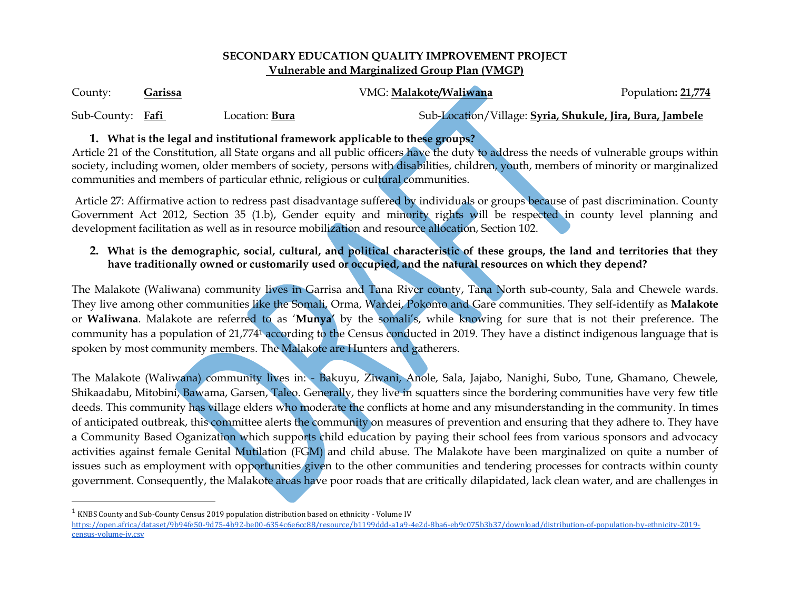#### **SECONDARY EDUCATION QUALITY IMPROVEMENT PROJECT Vulnerable and Marginalized Group Plan (VMGP)**

| County:          | <u>Garissa</u> |                       | VMG: Malakote/Waliwana | Population: 21,774                                        |
|------------------|----------------|-----------------------|------------------------|-----------------------------------------------------------|
| Sub-County: Fafi |                | Location: <b>Bura</b> |                        | Sub-Location/Village: Syria, Shukule, Jira, Bura, Jambele |

### **1. What is the legal and institutional framework applicable to these groups?**

Article 21 of the Constitution, all State organs and all public officers have the duty to address the needs of vulnerable groups within society, including women, older members of society, persons with disabilities, children, youth, members of minority or marginalized communities and members of particular ethnic, religious or cultural communities.

Article 27: Affirmative action to redress past disadvantage suffered by individuals or groups because of past discrimination. County Government Act 2012, Section 35 (1.b), Gender equity and minority rights will be respected in county level planning and development facilitation as well as in resource mobilization and resource allocation, Section 102.

# **2. What is the demographic, social, cultural, and political characteristic of these groups, the land and territories that they have traditionally owned or customarily used or occupied, and the natural resources on which they depend?**

The Malakote (Waliwana) community lives in Garrisa and Tana River county, Tana North sub-county, Sala and Chewele wards. They live among other communities like the Somali, Orma, Wardei, Pokomo and Gare communities. They self-identify as **Malakote** or **Waliwana**. Malakote are referred to as '**Munya'** by the somali's, while knowing for sure that is not their preference. The community has a population of 21,774<sup>1</sup> according to the Census conducted in 2019. They have a distinct indigenous language that is spoken by most community members. The Malakote are Hunters and gatherers.

The Malakote (Waliwana) community lives in: - Bakuyu, Ziwani, Anole, Sala, Jajabo, Nanighi, Subo, Tune, Ghamano, Chewele, Shikaadabu, Mitobini, Bawama, Garsen, Taleo. Generally, they live in squatters since the bordering communities have very few title deeds. This community has village elders who moderate the conflicts at home and any misunderstanding in the community. In times of anticipated outbreak, this committee alerts the community on measures of prevention and ensuring that they adhere to. They have a Community Based Oganization which supports child education by paying their school fees from various sponsors and advocacy activities against female Genital Mutilation (FGM) and child abuse. The Malakote have been marginalized on quite a number of issues such as employment with opportunities given to the other communities and tendering processes for contracts within county government. Consequently, the Malakote areas have poor roads that are critically dilapidated, lack clean water, and are challenges in

 $\overline{\phantom{a}}$ 

 $^1$  KNBS County and Sub-County Census 2019 population distribution based on ethnicity - Volume IV

[https://open.africa/dataset/9b94fe50-9d75-4b92-be00-6354c6e6cc88/resource/b1199ddd-a1a9-4e2d-8ba6-eb9c075b3b37/download/distribution-of-population-by-ethnicity-2019](https://open.africa/dataset/9b94fe50-9d75-4b92-be00-6354c6e6cc88/resource/b1199ddd-a1a9-4e2d-8ba6-eb9c075b3b37/download/distribution-of-population-by-ethnicity-2019-census-volume-iv.csv) [census-volume-iv.csv](https://open.africa/dataset/9b94fe50-9d75-4b92-be00-6354c6e6cc88/resource/b1199ddd-a1a9-4e2d-8ba6-eb9c075b3b37/download/distribution-of-population-by-ethnicity-2019-census-volume-iv.csv)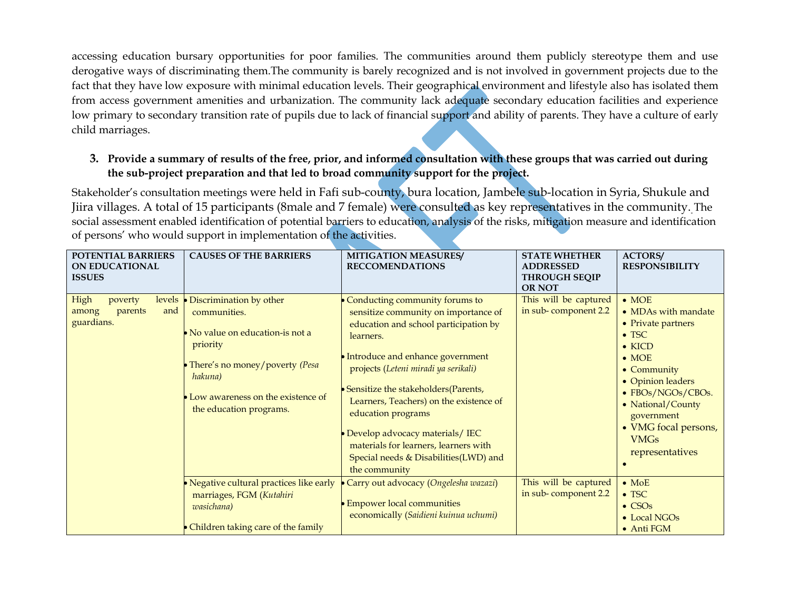accessing education bursary opportunities for poor families. The communities around them publicly stereotype them and use derogative ways of discriminating them.The community is barely recognized and is not involved in government projects due to the fact that they have low exposure with minimal education levels. Their geographical environment and lifestyle also has isolated them from access government amenities and urbanization. The community lack adequate secondary education facilities and experience low primary to secondary transition rate of pupils due to lack of financial support and ability of parents. They have a culture of early child marriages.

# **3. Provide a summary of results of the free, prior, and informed consultation with these groups that was carried out during the sub-project preparation and that led to broad community support for the project.**

Stakeholder's consultation meetings were held in Fafi sub-county, bura location, Jambele sub-location in Syria, Shukule and Jiira villages. A total of 15 participants (8male and 7 female) were consulted as key representatives in the community. The social assessment enabled identification of potential barriers to education, analysis of the risks, mitigation measure and identification of persons' who would support in implementation of the activities.

| POTENTIAL BARRIERS<br><b>ON EDUCATIONAL</b><br><b>ISSUES</b>       | <b>CAUSES OF THE BARRIERS</b>                                                                                                                                                                                      | <b>MITIGATION MEASURES/</b><br><b>RECCOMENDATIONS</b>                                                                                                                                                                                                                                                                                                                                                                                                         | <b>STATE WHETHER</b><br><b>ADDRESSED</b><br><b>THROUGH SEQIP</b><br><b>OR NOT</b> | <b>ACTORS/</b><br><b>RESPONSIBILITY</b>                                                                                                                                                                                                                                      |
|--------------------------------------------------------------------|--------------------------------------------------------------------------------------------------------------------------------------------------------------------------------------------------------------------|---------------------------------------------------------------------------------------------------------------------------------------------------------------------------------------------------------------------------------------------------------------------------------------------------------------------------------------------------------------------------------------------------------------------------------------------------------------|-----------------------------------------------------------------------------------|------------------------------------------------------------------------------------------------------------------------------------------------------------------------------------------------------------------------------------------------------------------------------|
| High<br>levels<br>poverty<br>and<br>parents<br>among<br>guardians. | • Discrimination by other<br>communities.<br>$\bullet$ No value on education-is not a<br>priority<br>• There's no money/poverty (Pesa<br>hakuna)<br>• Low awareness on the existence of<br>the education programs. | Conducting community forums to<br>sensitize community on importance of<br>education and school participation by<br>learners.<br>• Introduce and enhance government<br>projects (Leteni miradi ya serikali)<br>• Sensitize the stakeholders (Parents,<br>Learners, Teachers) on the existence of<br>education programs<br>• Develop advocacy materials/ IEC<br>materials for learners, learners with<br>Special needs & Disabilities(LWD) and<br>the community | This will be captured<br>in sub-component 2.2                                     | $\bullet$ MOE<br>• MDAs with mandate<br>• Private partners<br>$\bullet$ TSC<br>$\bullet$ KICD<br>$\bullet$ MOE<br>$\bullet$ Community<br>• Opinion leaders<br>• FBOs/NGOs/CBOs.<br>• National/County<br>government<br>• VMG focal persons,<br><b>VMGs</b><br>representatives |
|                                                                    | • Negative cultural practices like early<br>marriages, FGM (Kutahiri<br>wasichana)<br>• Children taking care of the family                                                                                         | Carry out advocacy (Ongelesha wazazi)<br><b>Empower local communities</b><br>economically (Saidieni kuinua uchumi)                                                                                                                                                                                                                                                                                                                                            | This will be captured<br>in sub-component 2.2                                     | $\bullet$ MoE<br>$\bullet$ TSC<br>$\bullet$ CSO <sub>s</sub><br>• Local NGOs<br>• Anti FGM                                                                                                                                                                                   |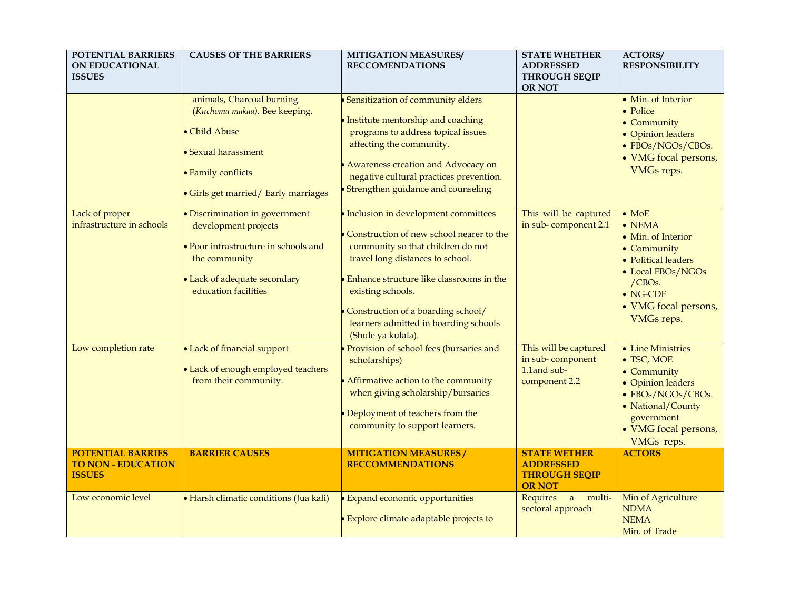| POTENTIAL BARRIERS<br><b>ON EDUCATIONAL</b><br><b>ISSUES</b>           | <b>CAUSES OF THE BARRIERS</b>                                                                                                                                     | <b>MITIGATION MEASURES/</b><br><b>RECCOMENDATIONS</b>                                                                                                                                                                                                                                                                              | <b>STATE WHETHER</b><br><b>ADDRESSED</b><br><b>THROUGH SEQIP</b><br><b>OR NOT</b> | <b>ACTORS/</b><br><b>RESPONSIBILITY</b>                                                                                                                                              |
|------------------------------------------------------------------------|-------------------------------------------------------------------------------------------------------------------------------------------------------------------|------------------------------------------------------------------------------------------------------------------------------------------------------------------------------------------------------------------------------------------------------------------------------------------------------------------------------------|-----------------------------------------------------------------------------------|--------------------------------------------------------------------------------------------------------------------------------------------------------------------------------------|
|                                                                        | animals, Charcoal burning<br>(Kuchoma makaa), Bee keeping.<br><b>Child Abuse</b><br>Sexual harassment<br>· Family conflicts<br>Girls get married/ Early marriages | • Sensitization of community elders<br>• Institute mentorship and coaching<br>programs to address topical issues<br>affecting the community.<br>• Awareness creation and Advocacy on<br>negative cultural practices prevention.<br>• Strengthen guidance and counseling                                                            |                                                                                   | • Min. of Interior<br>• Police<br>• Community<br>• Opinion leaders<br>• FBOs/NGOs/CBOs.<br>• VMG focal persons,<br>VMGs reps.                                                        |
| Lack of proper<br>infrastructure in schools                            | Discrimination in government<br>development projects<br>Poor infrastructure in schools and<br>the community<br>Lack of adequate secondary<br>education facilities | · Inclusion in development committees<br>• Construction of new school nearer to the<br>community so that children do not<br>travel long distances to school.<br>Enhance structure like classrooms in the<br>existing schools.<br>Construction of a boarding school/<br>learners admitted in boarding schools<br>(Shule ya kulala). | This will be captured<br>in sub-component 2.1                                     | $\bullet$ MoE<br>$\bullet$ NEMA<br>• Min. of Interior<br>• Community<br>• Political leaders<br>• Local FBOs/NGOs<br>/CBOs.<br>$\bullet$ NG-CDF<br>• VMG focal persons,<br>VMGs reps. |
| Low completion rate                                                    | Lack of financial support<br>Lack of enough employed teachers<br>from their community.                                                                            | Provision of school fees (bursaries and<br>scholarships)<br>• Affirmative action to the community<br>when giving scholarship/bursaries<br>Deployment of teachers from the<br>community to support learners.                                                                                                                        | This will be captured<br>in sub-component<br>1.1and sub-<br>component 2.2         | • Line Ministries<br>• TSC, MOE<br>• Community<br>• Opinion leaders<br>• FBOs/NGOs/CBOs.<br>• National/County<br>government<br>• VMG focal persons,<br>VMGs reps.                    |
| <b>POTENTIAL BARRIES</b><br><b>TO NON - EDUCATION</b><br><b>ISSUES</b> | <b>BARRIER CAUSES</b>                                                                                                                                             | <b>MITIGATION MEASURES/</b><br><b>RECCOMMENDATIONS</b>                                                                                                                                                                                                                                                                             | <b>STATE WETHER</b><br><b>ADDRESSED</b><br><b>THROUGH SEQIP</b><br><b>OR NOT</b>  | <b>ACTORS</b>                                                                                                                                                                        |
| Low economic level                                                     | • Harsh climatic conditions (Jua kali)                                                                                                                            | <b>Expand economic opportunities</b><br><b>Explore climate adaptable projects to</b>                                                                                                                                                                                                                                               | Requires a multi-<br>sectoral approach                                            | Min of Agriculture<br><b>NDMA</b><br><b>NEMA</b><br>Min. of Trade                                                                                                                    |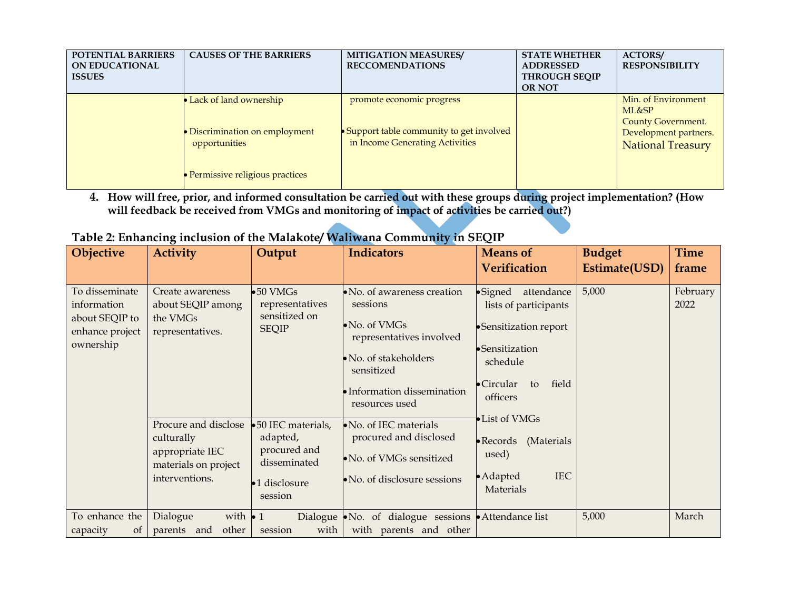| <b>POTENTIAL BARRIERS</b><br><b>ON EDUCATIONAL</b><br><b>ISSUES</b> | <b>CAUSES OF THE BARRIERS</b>                                                                             | <b>MITIGATION MEASURES/</b><br><b>RECCOMENDATIONS</b>                                                     | <b>STATE WHETHER</b><br><b>ADDRESSED</b><br><b>THROUGH SEQIP</b><br><b>OR NOT</b> | <b>ACTORS/</b><br><b>RESPONSIBILITY</b>                                                                        |
|---------------------------------------------------------------------|-----------------------------------------------------------------------------------------------------------|-----------------------------------------------------------------------------------------------------------|-----------------------------------------------------------------------------------|----------------------------------------------------------------------------------------------------------------|
|                                                                     | Lack of land ownership<br>Discrimination on employment<br>opportunities<br>Permissive religious practices | promote economic progress<br>• Support table community to get involved<br>in Income Generating Activities |                                                                                   | Min. of Environment<br>ML&SP<br><b>County Government.</b><br>Development partners.<br><b>National Treasury</b> |

**4. How will free, prior, and informed consultation be carried out with these groups during project implementation? (How will feedback be received from VMGs and monitoring of impact of activities be carried out?)**

| Table 2: Enhancing inclusion of the Malakote/Waliwana Community in SEQIP |  |  |
|--------------------------------------------------------------------------|--|--|

| Objective                                                                       | <b>Activity</b>                                                                                                                                                          | Output                                                                                                                                                              | <b>Indicators</b>                                                                                                                                                                                                                                                                            | <b>Means of</b>                                                                                                                                                                                                                                                       | <b>Budget</b> | <b>Time</b>      |
|---------------------------------------------------------------------------------|--------------------------------------------------------------------------------------------------------------------------------------------------------------------------|---------------------------------------------------------------------------------------------------------------------------------------------------------------------|----------------------------------------------------------------------------------------------------------------------------------------------------------------------------------------------------------------------------------------------------------------------------------------------|-----------------------------------------------------------------------------------------------------------------------------------------------------------------------------------------------------------------------------------------------------------------------|---------------|------------------|
|                                                                                 |                                                                                                                                                                          |                                                                                                                                                                     |                                                                                                                                                                                                                                                                                              | <b>Verification</b>                                                                                                                                                                                                                                                   | Estimate(USD) | frame            |
| To disseminate<br>information<br>about SEQIP to<br>enhance project<br>ownership | Create awareness<br>about SEQIP among<br>the VMGs<br>representatives.<br>Procure and disclose<br>culturally<br>appropriate IEC<br>materials on project<br>interventions. | $\bullet 50$ VMGs<br>representatives<br>sensitized on<br><b>SEQIP</b><br>•50 IEC materials,<br>adapted,<br>procured and<br>disseminated<br>•1 disclosure<br>session | • No. of awareness creation<br>sessions<br>• No. of VMGs<br>representatives involved<br>• No. of stakeholders<br>sensitized<br>• Information dissemination<br>resources used<br>• No. of IEC materials<br>procured and disclosed<br>• No. of VMGs sensitized<br>• No. of disclosure sessions | $\bullet$ Signed<br>attendance<br>lists of participants<br>•Sensitization report<br>•Sensitization<br>schedule<br>field<br>$\bullet$ Circular<br>to<br>officers<br>• List of VMGs<br>• Records<br>(Materials<br>used)<br><b>IEC</b><br>$\bullet$ Adapted<br>Materials | 5,000         | February<br>2022 |
| To enhance the<br>capacity<br><sub>of</sub>                                     | Dialogue<br>with $\bullet$ 1<br>other<br>parents and                                                                                                                     | with<br>session                                                                                                                                                     | Dialogue • No. of dialogue sessions • Attendance list<br>with parents and other                                                                                                                                                                                                              |                                                                                                                                                                                                                                                                       | 5,000         | March            |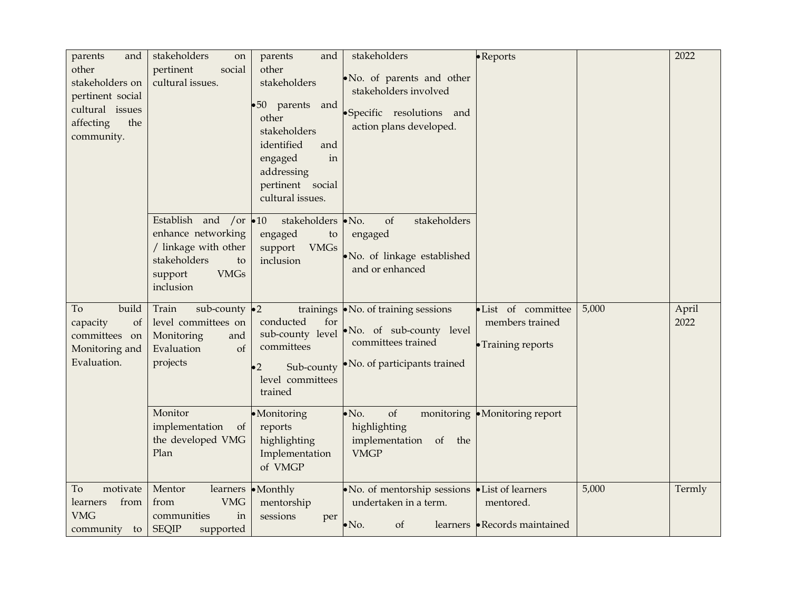| parents<br>and<br>other<br>stakeholders on<br>pertinent social<br>cultural issues<br>the<br>affecting<br>community. | stakeholders<br>on<br>pertinent<br>social<br>cultural issues.                                                                             | parents<br>and<br>other<br>stakeholders<br>•50 parents and<br>other<br>stakeholders<br>identified<br>and<br>in<br>engaged<br>addressing<br>pertinent social<br>cultural issues. | stakeholders<br>.No. of parents and other<br>stakeholders involved<br>·Specific resolutions and<br>action plans developed. | • Reports                                                   |       | 2022          |
|---------------------------------------------------------------------------------------------------------------------|-------------------------------------------------------------------------------------------------------------------------------------------|---------------------------------------------------------------------------------------------------------------------------------------------------------------------------------|----------------------------------------------------------------------------------------------------------------------------|-------------------------------------------------------------|-------|---------------|
|                                                                                                                     | Establish and /or $\bullet$ 10<br>enhance networking<br>/ linkage with other<br>stakeholders<br>to<br><b>VMGs</b><br>support<br>inclusion | stakeholders • No.<br>engaged<br>to<br>support<br><b>VMGs</b><br>inclusion                                                                                                      | stakeholders<br>of<br>engaged<br>· No. of linkage established<br>and or enhanced                                           |                                                             |       |               |
| build<br>To<br>of<br>capacity<br>committees on<br>Monitoring and<br>Evaluation.                                     | Train<br>sub-county $\bullet$ 2<br>level committees on<br>Monitoring<br>and<br>of<br>Evaluation<br>projects                               | conducted<br>for<br>sub-county level<br>committees<br>Sub-county<br>$\bullet 2$<br>level committees<br>trained                                                                  | trainings • No. of training sessions<br>No. of sub-county level<br>committees trained<br>• No. of participants trained     | ·List of committee<br>members trained<br>• Training reports | 5,000 | April<br>2022 |
|                                                                                                                     | Monitor<br>implementation<br>of<br>the developed VMG<br>Plan                                                                              | ·Monitoring<br>reports<br>highlighting<br>Implementation<br>of VMGP                                                                                                             | of<br>$\bullet$ No.<br>highlighting<br>implementation of<br>the<br><b>VMGP</b>                                             | monitoring • Monitoring report                              |       |               |
| motivate<br>To<br>from<br>learners<br><b>VMG</b><br>community<br>to                                                 | Mentor<br>learners<br><b>VMG</b><br>from<br>in<br>communities<br><b>SEQIP</b><br>supported                                                | $\bullet$ Monthly<br>mentorship<br>sessions<br>per                                                                                                                              | • No. of mentorship sessions • List of learners<br>undertaken in a term.<br>of<br>$\bullet$ No.                            | mentored.<br>learners • Records maintained                  | 5,000 | Termly        |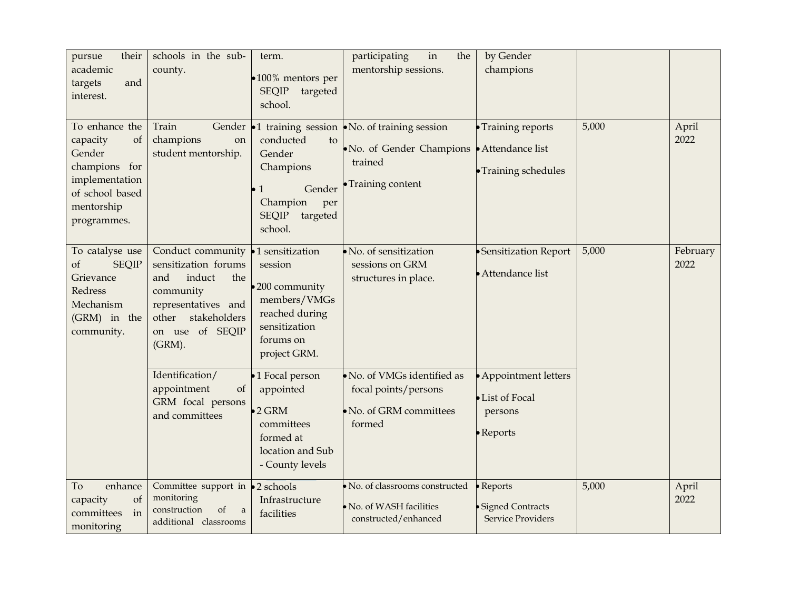| their<br>pursue<br>academic<br>targets<br>and<br>interest.                                                                                                        | schools in the sub-<br>county.                                                                                                                              | term.<br>$\bullet$ 100% mentors per<br><b>SEQIP</b><br>targeted<br>school.                                                    | participating<br>in<br>the<br>mentorship sessions.                                                                                  | by Gender<br>champions                                                   |       |                  |
|-------------------------------------------------------------------------------------------------------------------------------------------------------------------|-------------------------------------------------------------------------------------------------------------------------------------------------------------|-------------------------------------------------------------------------------------------------------------------------------|-------------------------------------------------------------------------------------------------------------------------------------|--------------------------------------------------------------------------|-------|------------------|
| To enhance the<br>capacity<br>of<br>Gender<br>champions for<br>implementation<br>of school based<br>mentorship<br>programmes.                                     | Train<br>champions<br>on<br>student mentorship.                                                                                                             | conducted<br>to<br>Gender<br>Champions<br>Gender<br>$\bullet$ 1<br>Champion<br>per<br><b>SEQIP</b><br>targeted<br>school.     | Gender $\bullet$ 1 training session $\bullet$ No. of training session<br>• No. of Gender Champions<br>trained<br>· Training content | • Training reports<br>• Attendance list<br>• Training schedules          | 5,000 | April<br>2022    |
| To catalyse use<br><b>SEQIP</b><br>of<br>Grievance<br>Redress<br>Mechanism<br>(GRM) in the<br>community.                                                          | Conduct community<br>sensitization forums<br>and<br>induct<br>the<br>community<br>representatives and<br>stakeholders<br>other<br>on use of SEQIP<br>(GRM). | •1 sensitization<br>session<br>•200 community<br>members/VMGs<br>reached during<br>sensitization<br>forums on<br>project GRM. | · No. of sensitization<br>sessions on GRM<br>structures in place.                                                                   | · Sensitization Report<br>• Attendance list                              | 5,000 | February<br>2022 |
|                                                                                                                                                                   | Identification/<br>appointment<br>of<br>GRM focal persons<br>and committees                                                                                 | •1 Focal person<br>appointed<br>$\bullet$ 2 GRM<br>committees<br>formed at<br>location and Sub<br>- County levels             | No. of VMGs identified as<br>focal points/persons<br>No. of GRM committees<br>formed                                                | • Appointment letters<br>• List of Focal<br>persons<br>$\bullet$ Reports |       |                  |
| enhance<br>To<br>$% \left( \left( \mathcal{A},\mathcal{A}\right) \right) =\left( \mathcal{A},\mathcal{A}\right)$ of<br>capacity<br>in<br>committees<br>monitoring | Committee support in $\bullet$ 2 schools<br>monitoring<br>construction<br>of<br>a<br>additional classrooms                                                  | Infrastructure<br>facilities                                                                                                  | · No. of classrooms constructed<br>No. of WASH facilities<br>constructed/enhanced                                                   | $\bullet$ Reports<br>· Signed Contracts<br>Service Providers             | 5,000 | April<br>2022    |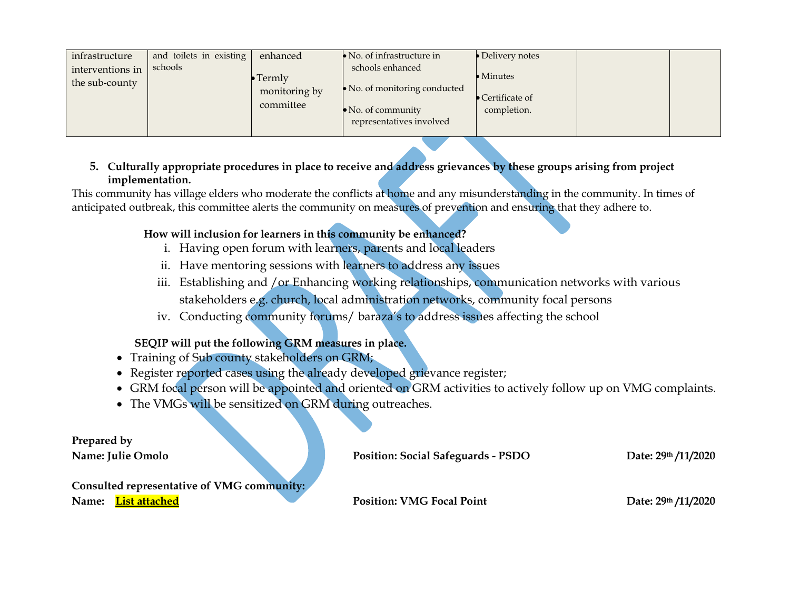| infrastructure<br>interventions in<br>the sub-county | and toilets in existing<br>schools | enhanced<br>$\bullet$ Termly<br>monitoring by<br>committee | $\bullet$ No. of infrastructure in<br>schools enhanced<br>• No. of monitoring conducted<br>$\bullet$ No. of community | $\bullet$ Delivery notes<br>$\bullet$ Minutes<br>$\bullet$ Certificate of<br>completion. |  |
|------------------------------------------------------|------------------------------------|------------------------------------------------------------|-----------------------------------------------------------------------------------------------------------------------|------------------------------------------------------------------------------------------|--|
|                                                      |                                    |                                                            | representatives involved                                                                                              |                                                                                          |  |

### **5. Culturally appropriate procedures in place to receive and address grievances by these groups arising from project implementation.**

This community has village elders who moderate the conflicts at home and any misunderstanding in the community. In times of anticipated outbreak, this committee alerts the community on measures of prevention and ensuring that they adhere to.

## **How will inclusion for learners in this community be enhanced?**

- i. Having open forum with learners, parents and local leaders
- ii. Have mentoring sessions with learners to address any issues
- iii. Establishing and /or Enhancing working relationships, communication networks with various stakeholders e.g. church, local administration networks, community focal persons
- iv. Conducting community forums/ baraza's to address issues affecting the school

# **SEQIP will put the following GRM measures in place.**

- Training of Sub county stakeholders on GRM;
- Register reported cases using the already developed grievance register;
- GRM focal person will be appointed and oriented on GRM activities to actively follow up on VMG complaints.
- The VMGs will be sensitized on GRM during outreaches.

| Prepared by                                |                                           |                     |
|--------------------------------------------|-------------------------------------------|---------------------|
| <b>Name: Julie Omolo</b>                   | <b>Position: Social Safeguards - PSDO</b> | Date: 29th /11/2020 |
|                                            |                                           |                     |
| Consulted representative of VMG community: |                                           |                     |
| List attached<br>Name:                     | <b>Position: VMG Focal Point</b>          | Date: 29th /11/2020 |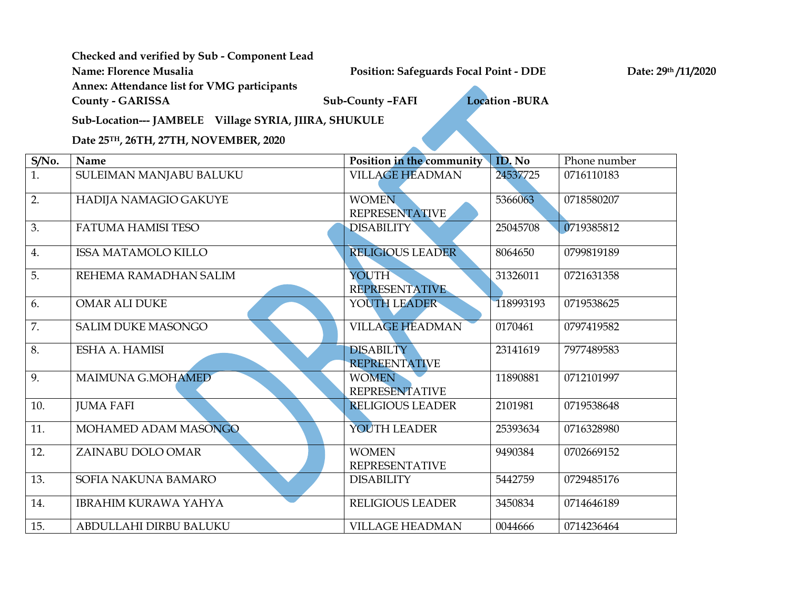# **Checked and verified by Sub - Component Lead**

**Name: Florence Musalia Position: Safeguards Focal Point - DDE Date: 29th /11/2020**

**Annex: Attendance list for VMG participants** 

**County - GARISSA Sub-County –FAFI Location -BURA** 

**Sub-Location--- JAMBELE Village SYRIA, JIIRA, SHUKULE**

**Date 25TH, 26TH, 27TH, NOVEMBER, 2020**

| S/No. | Name                        | Position in the community                | ID. No    | Phone number |
|-------|-----------------------------|------------------------------------------|-----------|--------------|
| 1.    | SULEIMAN MANJABU BALUKU     | <b>VILLAGE HEADMAN</b>                   | 24537725  | 0716110183   |
| 2.    | HADIJA NAMAGIO GAKUYE       | <b>WOMEN</b><br><b>REPRESENTATIVE</b>    | 5366063   | 0718580207   |
| 3.    | <b>FATUMA HAMISI TESO</b>   | <b>DISABILITY</b>                        | 25045708  | 0719385812   |
| 4.    | <b>ISSA MATAMOLO KILLO</b>  | <b>RELIGIOUS LEADER</b>                  | 8064650   | 0799819189   |
| 5.    | REHEMA RAMADHAN SALIM       | YOUTH<br>REPRESENTATIVE                  | 31326011  | 0721631358   |
| 6.    | <b>OMAR ALI DUKE</b>        | YOUTH LEADER                             | 118993193 | 0719538625   |
| 7.    | <b>SALIM DUKE MASONGO</b>   | <b>VILLAGE HEADMAN</b>                   | 0170461   | 0797419582   |
| 8.    | ESHA A. HAMISI              | <b>DISABILTY</b><br><b>REPREENTATIVE</b> | 23141619  | 7977489583   |
| 9.    | MAIMUNA G.MOHAMED           | <b>WOMEN</b><br><b>REPRESENTATIVE</b>    | 11890881  | 0712101997   |
| 10.   | <b>JUMA FAFI</b>            | <b>RELIGIOUS LEADER</b>                  | 2101981   | 0719538648   |
| 11.   | MOHAMED ADAM MASONGO        | YOUTH LEADER                             | 25393634  | 0716328980   |
| 12.   | ZAINABU DOLO OMAR           | <b>WOMEN</b><br><b>REPRESENTATIVE</b>    | 9490384   | 0702669152   |
| 13.   | SOFIA NAKUNA BAMARO         | <b>DISABILITY</b>                        | 5442759   | 0729485176   |
| 14.   | <b>IBRAHIM KURAWA YAHYA</b> | RELIGIOUS LEADER                         | 3450834   | 0714646189   |
| 15.   | ABDULLAHI DIRBU BALUKU      | <b>VILLAGE HEADMAN</b>                   | 0044666   | 0714236464   |